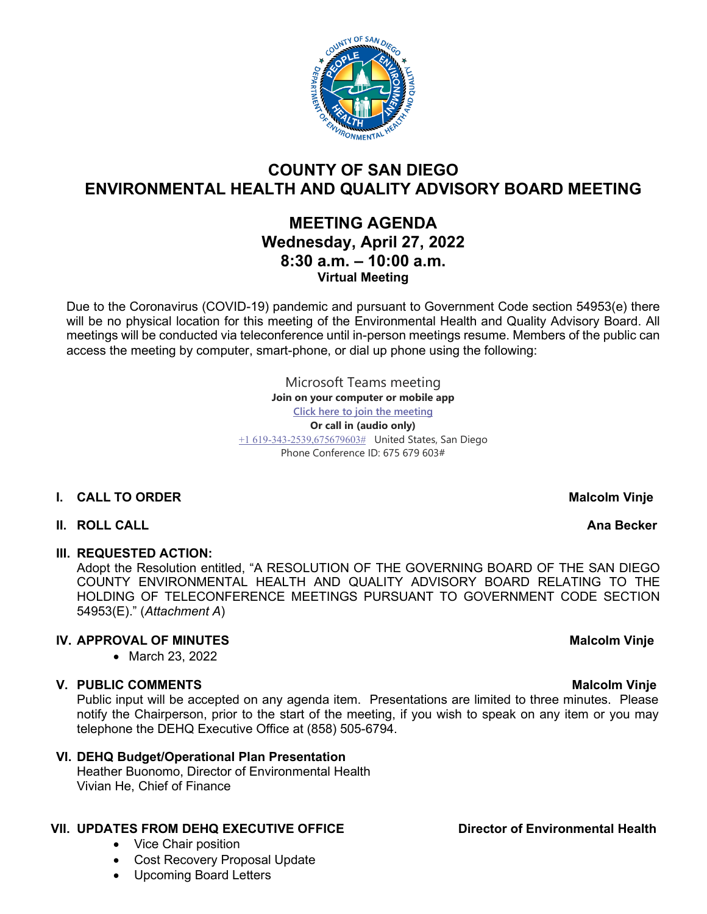

# **COUNTY OF SAN DIEGO ENVIRONMENTAL HEALTH AND QUALITY ADVISORY BOARD MEETING**

# **MEETING AGENDA Wednesday, April 27, 2022 8:30 a.m. – 10:00 a.m. Virtual Meeting**

Due to the Coronavirus (COVID-19) pandemic and pursuant to Government Code section 54953(e) there will be no physical location for this meeting of the Environmental Health and Quality Advisory Board. All meetings will be conducted via teleconference until in-person meetings resume. Members of the public can access the meeting by computer, smart-phone, or dial up phone using the following:

> Microsoft Teams meeting **Join on your computer or mobile app [Click here to join the meeting](https://teams.microsoft.com/l/meetup-join/19%3ameeting_YTBhMzBhYjctMTVmZi00N2ZjLThiMDEtNDIwOTliMTc5YWYz%40thread.v2/0?context=%7b%22Tid%22%3a%224563af13-c029-41b3-b74c-965e8eec8f96%22%2c%22Oid%22%3a%224570e91c-15b4-44d5-a1ca-564bec5e2a6c%22%7d) Or call in (audio only)** [+1 619-343-2539,675679603#](tel:+16193432539,,675679603#%20) United States, San Diego Phone Conference ID: 675 679 603#

# **I.** CALL TO ORDER Malcolm **Malcolm Malcolm Malcolm Malcolm Malcolm Malcolm Malcolm**

### **II. ROLL CALL Ana Becker**

### **III. REQUESTED ACTION:**

Adopt the Resolution entitled, "A RESOLUTION OF THE GOVERNING BOARD OF THE SAN DIEGO COUNTY ENVIRONMENTAL HEALTH AND QUALITY ADVISORY BOARD RELATING TO THE HOLDING OF TELECONFERENCE MEETINGS PURSUANT TO GOVERNMENT CODE SECTION 54953(E)." (*Attachment A*)

# **IV. APPROVAL OF MINUTES** Malcolm Vinje

• March 23, 2022

# **V. PUBLIC COMMENTS** Malcolm Vinje

Public input will be accepted on any agenda item. Presentations are limited to three minutes. Please notify the Chairperson, prior to the start of the meeting, if you wish to speak on any item or you may telephone the DEHQ Executive Office at (858) 505-6794.

### **VI. DEHQ Budget/Operational Plan Presentation**

Heather Buonomo, Director of Environmental Health Vivian He, Chief of Finance

# **VII. UPDATES FROM DEHQ EXECUTIVE OFFICE Director of Environmental Health**

- Vice Chair position
- Cost Recovery Proposal Update
- Upcoming Board Letters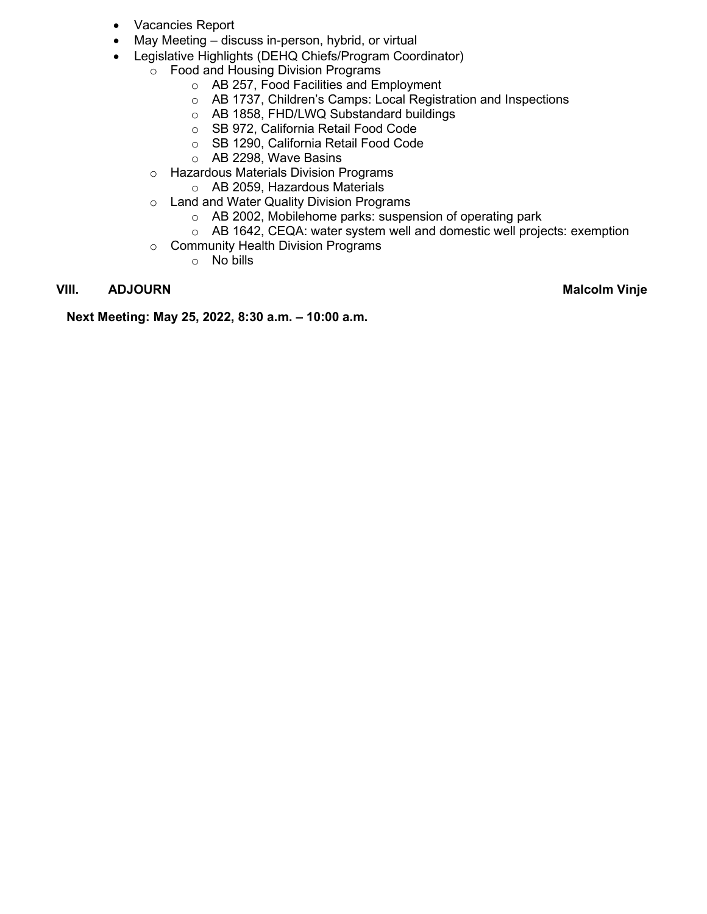- Vacancies Report
- May Meeting discuss in-person, hybrid, or virtual
- Legislative Highlights (DEHQ Chiefs/Program Coordinator)
	- o Food and Housing Division Programs
		- o AB 257, Food Facilities and Employment
		- o AB 1737, Children's Camps: Local Registration and Inspections
		- o AB 1858, FHD/LWQ Substandard buildings
		- o SB 972, California Retail Food Code
		- o SB 1290, California Retail Food Code
		- o AB 2298, Wave Basins
		- o Hazardous Materials Division Programs
			- o AB 2059, Hazardous Materials
		- o Land and Water Quality Division Programs
			- o AB 2002, Mobilehome parks: suspension of operating park
			- o AB 1642, CEQA: water system well and domestic well projects: exemption
		- o Community Health Division Programs
			- o No bills

### **VIII.** ADJOURN Malcolm Vinje

**Next Meeting: May 25, 2022, 8:30 a.m. – 10:00 a.m.**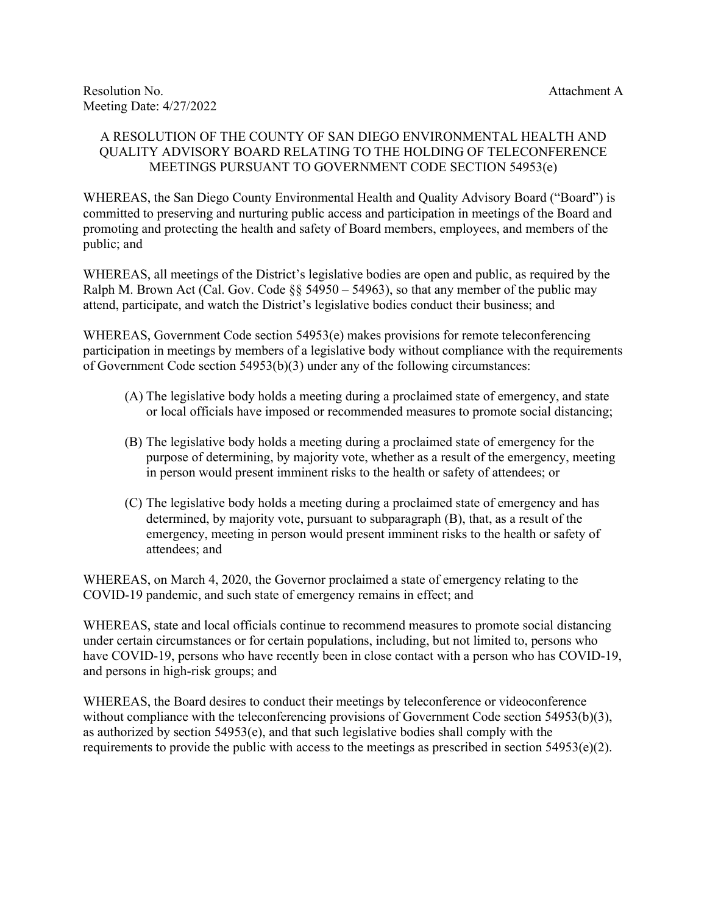#### A RESOLUTION OF THE COUNTY OF SAN DIEGO ENVIRONMENTAL HEALTH AND QUALITY ADVISORY BOARD RELATING TO THE HOLDING OF TELECONFERENCE MEETINGS PURSUANT TO GOVERNMENT CODE SECTION 54953(e)

WHEREAS, the San Diego County Environmental Health and Quality Advisory Board ("Board") is committed to preserving and nurturing public access and participation in meetings of the Board and promoting and protecting the health and safety of Board members, employees, and members of the public; and

WHEREAS, all meetings of the District's legislative bodies are open and public, as required by the Ralph M. Brown Act (Cal. Gov. Code  $\S$ § 54950 – 54963), so that any member of the public may attend, participate, and watch the District's legislative bodies conduct their business; and

WHEREAS, Government Code section 54953(e) makes provisions for remote teleconferencing participation in meetings by members of a legislative body without compliance with the requirements of Government Code section 54953(b)(3) under any of the following circumstances:

- (A) The legislative body holds a meeting during a proclaimed state of emergency, and state or local officials have imposed or recommended measures to promote social distancing;
- (B) The legislative body holds a meeting during a proclaimed state of emergency for the purpose of determining, by majority vote, whether as a result of the emergency, meeting in person would present imminent risks to the health or safety of attendees; or
- (C) The legislative body holds a meeting during a proclaimed state of emergency and has determined, by majority vote, pursuant to subparagraph (B), that, as a result of the emergency, meeting in person would present imminent risks to the health or safety of attendees; and

WHEREAS, on March 4, 2020, the Governor proclaimed a state of emergency relating to the COVID-19 pandemic, and such state of emergency remains in effect; and

WHEREAS, state and local officials continue to recommend measures to promote social distancing under certain circumstances or for certain populations, including, but not limited to, persons who have COVID-19, persons who have recently been in close contact with a person who has COVID-19, and persons in high-risk groups; and

WHEREAS, the Board desires to conduct their meetings by teleconference or videoconference without compliance with the teleconferencing provisions of Government Code section 54953(b)(3), as authorized by section 54953(e), and that such legislative bodies shall comply with the requirements to provide the public with access to the meetings as prescribed in section  $54953(e)(2)$ .